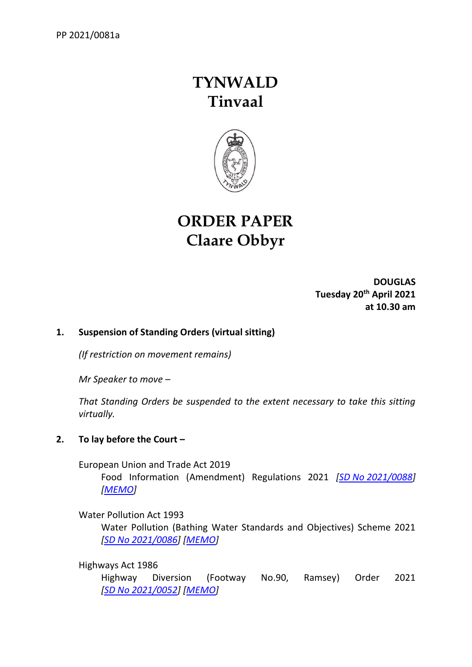# **TYNWALD Tinvaal**



## **ORDER PAPER Claare Obbyr**

**DOUGLAS Tuesday 20th April 2021 at 10.30 am**

## **1. Suspension of Standing Orders (virtual sitting)**

*(If restriction on movement remains)*

*Mr Speaker to move –*

*That Standing Orders be suspended to the extent necessary to take this sitting virtually.*

## **2. To lay before the Court –**

European Union and Trade Act 2019

Food Information (Amendment) Regulations 2021 *[SD No [2021/0088\]](https://www.tynwald.org.im/business/opqp/sittings/20182021/2021-SD-0088.pdf) [\[MEMO\]](https://www.tynwald.org.im/business/opqp/sittings/20182021/2021-SD-0088-MEMO.pdf)*

Water Pollution Act 1993

Water Pollution (Bathing Water Standards and Objectives) Scheme 2021 *[SD No [2021/0086\]](https://www.tynwald.org.im/business/opqp/sittings/20182021/2021-SD-0086.pdf) [\[MEMO\]](https://www.tynwald.org.im/business/opqp/sittings/20182021/2021-SD-0086-MEMO.pdf)*

Highways Act 1986

Highway Diversion (Footway No.90, Ramsey) Order 2021 *[SD No [2021/0052\]](https://www.tynwald.org.im/business/opqp/sittings/20182021/2021-SD-0052.pdf) [\[MEMO\]](https://www.tynwald.org.im/business/opqp/sittings/20182021/2021-SD-0052-MEMO.pdf)*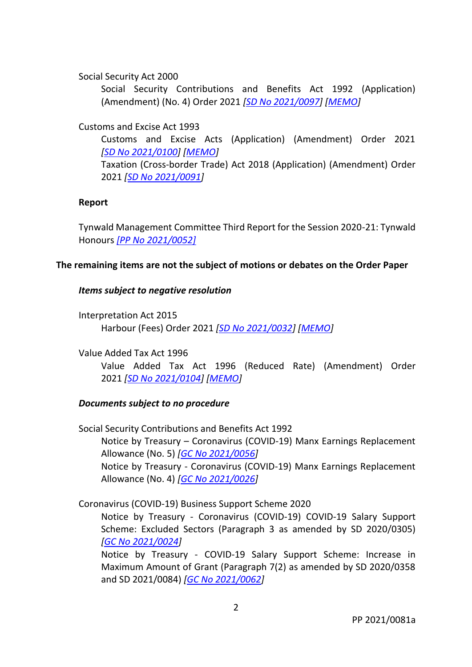Social Security Act 2000

Social Security Contributions and Benefits Act 1992 (Application) (Amendment) (No. 4) Order 2021 *[SD No [2021/0097\]](https://www.tynwald.org.im/business/opqp/sittings/20182021/2021-SD-0097.pdf) [\[MEMO\]](https://www.tynwald.org.im/business/opqp/sittings/20182021/2021-SD-0097-MEMO.pdf)*

Customs and Excise Act 1993

Customs and Excise Acts (Application) (Amendment) Order 2021 *[SD No [2021/0100\]](https://www.tynwald.org.im/business/opqp/sittings/20182021/2021-SD-0100.pdf) [\[MEMO\]](https://www.tynwald.org.im/business/opqp/sittings/20182021/2021-SD-0100-MEMO.pdf)* Taxation (Cross-border Trade) Act 2018 (Application) (Amendment) Order 2021 *[SD No [2021/0091\]](https://www.tynwald.org.im/business/opqp/sittings/20182021/2021-SD-0091.pdf)* 

#### **Report**

Tynwald Management Committee Third Report for the Session 2020-21: Tynwald Honours *[\[PP No 2021/0052\]](https://www.tynwald.org.im/business/opqp/sittings/20182021/2021-PP-0052.pdf)*

#### **The remaining items are not the subject of motions or debates on the Order Paper**

#### *Items subject to negative resolution*

Interpretation Act 2015 Harbour (Fees) Order 2021 *[\[SD No 2021/0032\]](https://www.tynwald.org.im/business/opqp/sittings/20182021/2021-SD-0032-APRIL.pdf) [\[MEMO\]](https://www.tynwald.org.im/business/opqp/sittings/20182021/2021-SD-0032-MEMO-APRIL.pdf)* 

Value Added Tax Act 1996

Value Added Tax Act 1996 (Reduced Rate) (Amendment) Order 2021 *[SD No [2021/0104\]](https://www.tynwald.org.im/business/opqp/sittings/20182021/2021-SD-0104.pdf) [\[MEMO\]](https://www.tynwald.org.im/business/opqp/sittings/20182021/2021-SD-0104-MEMO.pdf)*

#### *Documents subject to no procedure*

Social Security Contributions and Benefits Act 1992 Notice by Treasury – Coronavirus (COVID-19) Manx Earnings Replacement Allowance (No. 5) *[GC No [2021/0056\]](https://www.tynwald.org.im/business/opqp/sittings/20182021/2021-GC-0056.pdf)* Notice by Treasury - Coronavirus (COVID-19) Manx Earnings Replacement

Allowance (No. 4) *[GC No [2021/0026\]](https://www.tynwald.org.im/business/opqp/sittings/20182021/2021-GC-0026.pdf)*

Coronavirus (COVID-19) Business Support Scheme 2020

Notice by Treasury - Coronavirus (COVID-19) COVID-19 Salary Support Scheme: Excluded Sectors (Paragraph 3 as amended by SD 2020/0305) *[GC No [2021/0024\]](https://www.tynwald.org.im/business/opqp/sittings/20182021/2021-GC-0024.pdf)*

Notice by Treasury - COVID-19 Salary Support Scheme: Increase in Maximum Amount of Grant (Paragraph 7(2) as amended by SD 2020/0358 and SD 2021/0084) *[GC No [2021/0062\]](https://www.tynwald.org.im/business/opqp/sittings/20182021/2021-GC-0062.pdf)*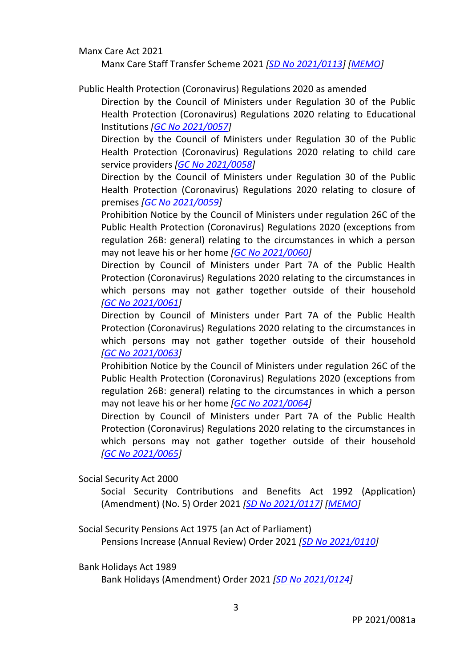Manx Care Act 2021

Manx Care Staff Transfer Scheme 2021 *[SD No [2021/0113\]](https://www.tynwald.org.im/business/opqp/sittings/20182021/2021-SD-0113.pdf) [\[MEMO\]](https://www.tynwald.org.im/business/opqp/sittings/20182021/2021-SD-0113-MEMO.pdf)*

Public Health Protection (Coronavirus) Regulations 2020 as amended

Direction by the Council of Ministers under Regulation 30 of the Public Health Protection (Coronavirus) Regulations 2020 relating to Educational Institutions *[GC No [2021/0057\]](https://www.tynwald.org.im/business/opqp/sittings/20182021/2021-GC-0057.pdf)*

Direction by the Council of Ministers under Regulation 30 of the Public Health Protection (Coronavirus) Regulations 2020 relating to child care service providers *[GC No [2021/0058\]](https://www.tynwald.org.im/business/opqp/sittings/20182021/2021-GC-0058.pdf)*

Direction by the Council of Ministers under Regulation 30 of the Public Health Protection (Coronavirus) Regulations 2020 relating to closure of premises *[GC No [2021/0059\]](https://www.tynwald.org.im/business/opqp/sittings/20182021/2021-GC-0059.pdf)*

Prohibition Notice by the Council of Ministers under regulation 26C of the Public Health Protection (Coronavirus) Regulations 2020 (exceptions from regulation 26B: general) relating to the circumstances in which a person may not leave his or her home *[GC No [2021/0060\]](https://www.tynwald.org.im/business/opqp/sittings/20182021/2021-GC-0060.pdf)*

Direction by Council of Ministers under Part 7A of the Public Health Protection (Coronavirus) Regulations 2020 relating to the circumstances in which persons may not gather together outside of their household *[GC No [2021/0061\]](https://www.tynwald.org.im/business/opqp/sittings/20182021/2021-GC-0061.pdf)*

Direction by Council of Ministers under Part 7A of the Public Health Protection (Coronavirus) Regulations 2020 relating to the circumstances in which persons may not gather together outside of their household *[GC No [2021/0063\]](https://www.tynwald.org.im/business/opqp/sittings/20182021/2021-GC-0063.pdf)*

Prohibition Notice by the Council of Ministers under regulation 26C of the Public Health Protection (Coronavirus) Regulations 2020 (exceptions from regulation 26B: general) relating to the circumstances in which a person may not leave his or her home *[GC No [2021/0064\]](https://www.tynwald.org.im/business/opqp/sittings/20182021/2021-GC-0064.pdf)*

Direction by Council of Ministers under Part 7A of the Public Health Protection (Coronavirus) Regulations 2020 relating to the circumstances in which persons may not gather together outside of their household *[GC No [2021/0065\]](https://www.tynwald.org.im/business/opqp/sittings/20182021/2021-GC-0065.pdf)*

Social Security Act 2000

Social Security Contributions and Benefits Act 1992 (Application) (Amendment) (No. 5) Order 2021 *[SD No [2021/0117\]](https://www.tynwald.org.im/business/opqp/sittings/20182021/2021-SD-0117.pdf) [\[MEMO\]](https://www.tynwald.org.im/business/opqp/sittings/20182021/2021-SD-0117-MEMO.pdf)*

Social Security Pensions Act 1975 (an Act of Parliament) Pensions Increase (Annual Review) Order 2021 *[\[SD No 2021/0110\]](https://www.tynwald.org.im/business/opqp/sittings/20182021/2021-SD-0110.pdf)*

Bank Holidays Act 1989

Bank Holidays (Amendment) Order 2021 *[SD No [2021/0124\]](https://www.tynwald.org.im/business/opqp/sittings/20182021/2021-SD-0124.pdf)*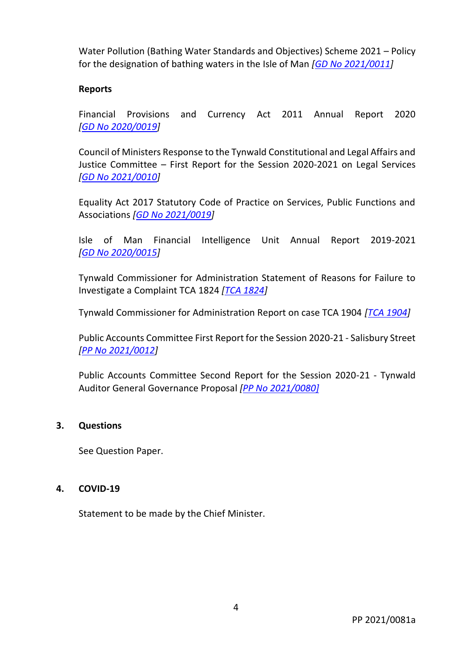Water Pollution (Bathing Water Standards and Objectives) Scheme 2021 – Policy for the designation of bathing waters in the Isle of Man *[GD No [2021/0011\]](https://www.tynwald.org.im/business/opqp/sittings/20182021/2021-GD-0011.pdf)*

#### **Reports**

Financial Provisions and Currency Act 2011 Annual Report 2020 *[GD No [2020/0019\]](https://www.tynwald.org.im/business/opqp/sittings/20182021/2020-GD-0019.pdf)*

Council of Ministers Response to the Tynwald Constitutional and Legal Affairs and Justice Committee – First Report for the Session 2020-2021 on Legal Services *[GD No [2021/0010\]](https://www.tynwald.org.im/business/opqp/sittings/20182021/2021-GD-0010.pdf)*

Equality Act 2017 Statutory Code of Practice on Services, Public Functions and Associations *[GD No [2021/0019\]](https://www.tynwald.org.im/business/opqp/sittings/20182021/2021-GD-0019.pdf)*

Isle of Man Financial Intelligence Unit Annual Report 2019-2021 *[GD No [2020/0015\]](https://www.tynwald.org.im/business/opqp/sittings/20182021/2020-GD-0015.pdf)*

Tynwald Commissioner for Administration Statement of Reasons for Failure to Investigate a Complaint TCA 1824 *[\[TCA 1824\]](https://www.tynwald.org.im/business/opqp/sittings/20182021/TCA1824.pdf)*

Tynwald Commissioner for Administration Report on case TCA 1904 *[\[TCA 1904\]](https://www.tynwald.org.im/business/opqp/sittings/20182021/TCA1904.pdf)*

Public Accounts Committee First Report for the Session 2020-21 - Salisbury Street *[PP No [2021/0012\]](https://www.tynwald.org.im/business/opqp/sittings/20182021/2021-PP-0012.pdf)*

Public Accounts Committee Second Report for the Session 2020-21 - Tynwald Auditor General Governance Proposal *[\[PP No 2021/0080\]](https://www.tynwald.org.im/business/opqp/sittings/20182021/2021-PP-0080.pdf)*

## **3. Questions**

See Question Paper.

#### **4. COVID-19**

Statement to be made by the Chief Minister.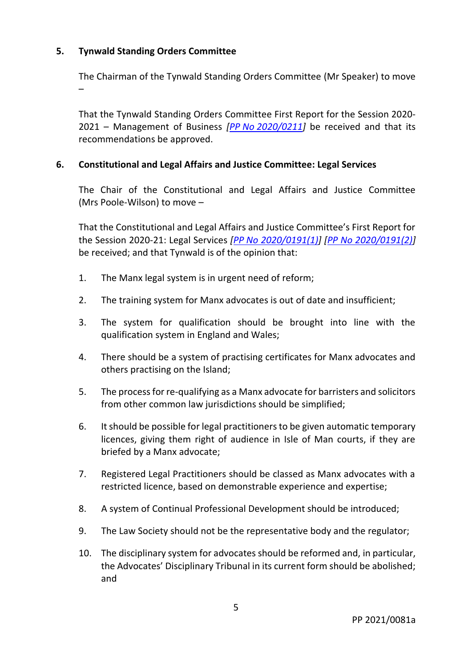## **5. Tynwald Standing Orders Committee**

–

The Chairman of the Tynwald Standing Orders Committee (Mr Speaker) to move

That the Tynwald Standing Orders Committee First Report for the Session 2020- 2021 – Management of Business *[PP No [2020/0211\]](https://www.tynwald.org.im/business/opqp/sittings/20182021/2020-PP-0211.pdf)* be received and that its recommendations be approved.

#### **6. Constitutional and Legal Affairs and Justice Committee: Legal Services**

The Chair of the Constitutional and Legal Affairs and Justice Committee (Mrs Poole-Wilson) to move –

That the Constitutional and Legal Affairs and Justice Committee's First Report for the Session 2020-21: Legal Services *[PP [No 2020/0191\(](https://www.tynwald.org.im/business/pp/Reports/2020-PP-0191(1).pdf)1)] [\[PP No 2020/0191\(2\)\]](https://www.tynwald.org.im/business/pp/Reports/2020-PP-0191(2).pdf)*  be received; and that Tynwald is of the opinion that:

- 1. The Manx legal system is in urgent need of reform;
- 2. The training system for Manx advocates is out of date and insufficient;
- 3. The system for qualification should be brought into line with the qualification system in England and Wales;
- 4. There should be a system of practising certificates for Manx advocates and others practising on the Island;
- 5. The process for re-qualifying as a Manx advocate for barristers and solicitors from other common law jurisdictions should be simplified;
- 6. It should be possible for legal practitioners to be given automatic temporary licences, giving them right of audience in Isle of Man courts, if they are briefed by a Manx advocate;
- 7. Registered Legal Practitioners should be classed as Manx advocates with a restricted licence, based on demonstrable experience and expertise;
- 8. A system of Continual Professional Development should be introduced;
- 9. The Law Society should not be the representative body and the regulator;
- 10. The disciplinary system for advocates should be reformed and, in particular, the Advocates' Disciplinary Tribunal in its current form should be abolished; and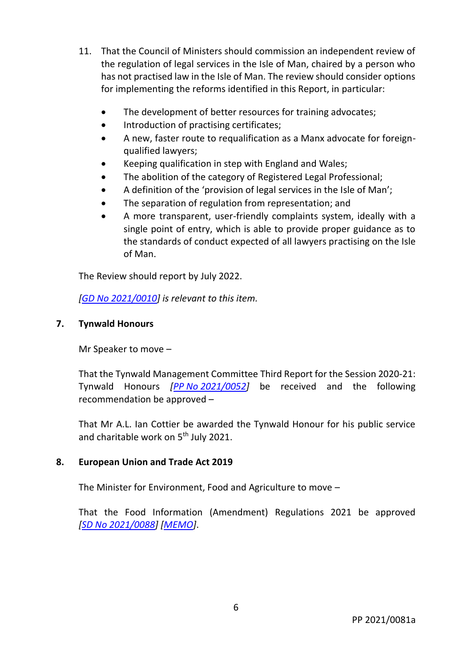- 11. That the Council of Ministers should commission an independent review of the regulation of legal services in the Isle of Man, chaired by a person who has not practised law in the Isle of Man. The review should consider options for implementing the reforms identified in this Report, in particular:
	- The development of better resources for training advocates;
	- Introduction of practising certificates;
	- A new, faster route to requalification as a Manx advocate for foreignqualified lawyers;
	- Keeping qualification in step with England and Wales;
	- The abolition of the category of Registered Legal Professional;
	- A definition of the 'provision of legal services in the Isle of Man';
	- The separation of regulation from representation; and
	- A more transparent, user-friendly complaints system, ideally with a single point of entry, which is able to provide proper guidance as to the standards of conduct expected of all lawyers practising on the Isle of Man.

The Review should report by July 2022.

*[GD No [2021/0010\]](https://www.tynwald.org.im/business/opqp/sittings/20182021/2021-GD-0010.pdf) is relevant to this item.*

## **7. Tynwald Honours**

Mr Speaker to move –

That the Tynwald Management Committee Third Report for the Session 2020-21: Tynwald Honours *[PP No [2021/0052\]](https://www.tynwald.org.im/business/opqp/sittings/20182021/2021-PP-0052.pdf)* be received and the following recommendation be approved –

That Mr A.L. Ian Cottier be awarded the Tynwald Honour for his public service and charitable work on 5<sup>th</sup> July 2021.

#### **8. European Union and Trade Act 2019**

The Minister for Environment, Food and Agriculture to move –

That the Food Information (Amendment) Regulations 2021 be approved *[SD No [2021/0088\]](https://www.tynwald.org.im/business/opqp/sittings/20182021/2021-SD-0088.pdf) [\[MEMO\]](https://www.tynwald.org.im/business/opqp/sittings/20182021/2021-SD-0088-MEMO.pdf)*.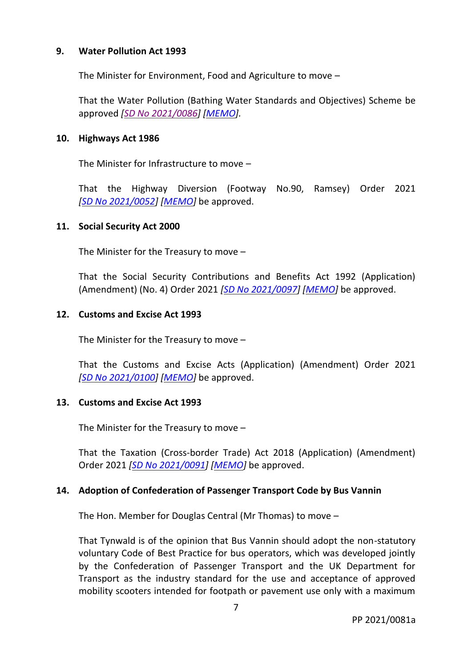#### **9. Water Pollution Act 1993**

The Minister for Environment, Food and Agriculture to move –

That the Water Pollution (Bathing Water Standards and Objectives) Scheme be approved *[SD No [2021/0086\]](https://www.tynwald.org.im/business/opqp/sittings/20182021/2021-SD-0086.pdf) [\[MEMO\]](https://www.tynwald.org.im/business/opqp/sittings/20182021/2021-SD-0086-MEMO.pdf).*

#### **10. Highways Act 1986**

The Minister for Infrastructure to move –

That the Highway Diversion (Footway No.90, Ramsey) Order 2021 *[SD No [2021/0052\]](https://www.tynwald.org.im/business/opqp/sittings/20182021/2021-SD-0052.pdf) [\[MEMO\]](https://www.tynwald.org.im/business/opqp/sittings/20182021/2021-SD-0052-MEMO.pdf)* be approved.

#### **11. Social Security Act 2000**

The Minister for the Treasury to move –

That the Social Security Contributions and Benefits Act 1992 (Application) (Amendment) (No. 4) Order 2021 *[SD No [2021/0097\]](https://www.tynwald.org.im/business/opqp/sittings/20182021/2021-SD-0097.pdf) [\[MEMO\]](https://www.tynwald.org.im/business/opqp/sittings/20182021/2021-SD-0097-MEMO.pdf)* be approved.

#### **12. Customs and Excise Act 1993**

The Minister for the Treasury to move –

That the Customs and Excise Acts (Application) (Amendment) Order 2021 *[SD No [2021/0100\]](https://www.tynwald.org.im/business/opqp/sittings/20182021/2021-SD-0100.pdf) [\[MEMO\]](https://www.tynwald.org.im/business/opqp/sittings/20182021/2021-SD-0100-MEMO.pdf)* be approved.

#### **13. Customs and Excise Act 1993**

The Minister for the Treasury to move –

That the Taxation (Cross-border Trade) Act 2018 (Application) (Amendment) Order 2021 *[SD No [2021/0091\]](https://www.tynwald.org.im/business/opqp/sittings/20182021/2021-SD-0091.pdf) [\[MEMO\]](https://www.tynwald.org.im/business/opqp/sittings/20182021/2021-SD-0091-MEMO.pdf)* be approved.

#### **14. Adoption of Confederation of Passenger Transport Code by Bus Vannin**

The Hon. Member for Douglas Central (Mr Thomas) to move –

That Tynwald is of the opinion that Bus Vannin should adopt the non-statutory voluntary Code of Best Practice for bus operators, which was developed jointly by the Confederation of Passenger Transport and the UK Department for Transport as the industry standard for the use and acceptance of approved mobility scooters intended for footpath or pavement use only with a maximum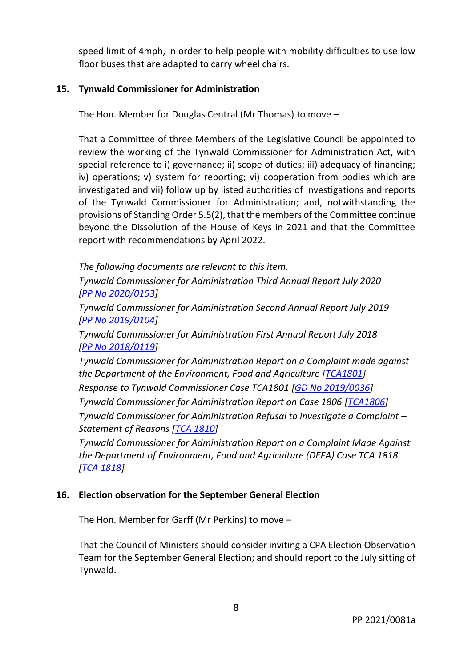speed limit of 4mph, in order to help people with mobility difficulties to use low floor buses that are adapted to carry wheel chairs.

## **15. Tynwald Commissioner for Administration**

The Hon. Member for Douglas Central (Mr Thomas) to move –

That a Committee of three Members of the Legislative Council be appointed to review the working of the Tynwald Commissioner for Administration Act, with special reference to i) governance; ii) scope of duties; iii) adequacy of financing; iv) operations; v) system for reporting; vi) cooperation from bodies which are investigated and vii) follow up by listed authorities of investigations and reports of the Tynwald Commissioner for Administration; and, notwithstanding the provisions of Standing Order 5.5(2), that the members of the Committee continue beyond the Dissolution of the House of Keys in 2021 and that the Committee report with recommendations by April 2022.

*The following documents are relevant to this item. Tynwald Commissioner for Administration Third Annual Report July 2020 [PP No [2020/0153\]](https://www.tynwald.org.im/business/opqp/sittings/20182021/2020-PP-0153.pdf) Tynwald Commissioner for Administration Second Annual Report July 2019 [PP [No 2019/0104\]](https://www.tynwald.org.im/business/opqp/sittings/20182021/2019-PP-0104.pdf)*

*Tynwald Commissioner for Administration First Annual Report July 2018 [PP No [2018/0119\]](https://www.tynwald.org.im/business/opqp/sittings/Tynwald%2020162018/2018-PP-0119.pdf)*

*Tynwald Commissioner for Administration Report on a Complaint made against the Department of the Environment, Food and Agriculture [\[TCA1801\]](https://www.tynwald.org.im/business/opqp/sittings/20182021/TCA1801.pdf)*

*Response to Tynwald Commissioner Case TCA1801 [\[GD No 2019/0036\]](https://www.tynwald.org.im/business/opqp/sittings/20182021/2019-GD-0036.pdf)*

*Tynwald Commissioner for Administration Report on Case 1806 [\[TCA1806\]](https://www.tynwald.org.im/business/opqp/sittings/Tynwald%2020162018/TCA1806.pdf)*

*Tynwald Commissioner for Administration Refusal to investigate a Complaint – Statement of Reasons [\[TCA 1810\]](https://www.tynwald.org.im/business/opqp/sittings/20182021/TCA1810.pdf)*

*Tynwald Commissioner for Administration Report on a Complaint Made Against the Department of Environment, Food and Agriculture (DEFA) Case TCA 1818 [\[TCA 1818\]](https://www.tynwald.org.im/business/opqp/sittings/20182021/2020-TCA-1818.pdf)*

## **16. Election observation for the September General Election**

The Hon. Member for Garff (Mr Perkins) to move –

That the Council of Ministers should consider inviting a CPA Election Observation Team for the September General Election; and should report to the July sitting of Tynwald.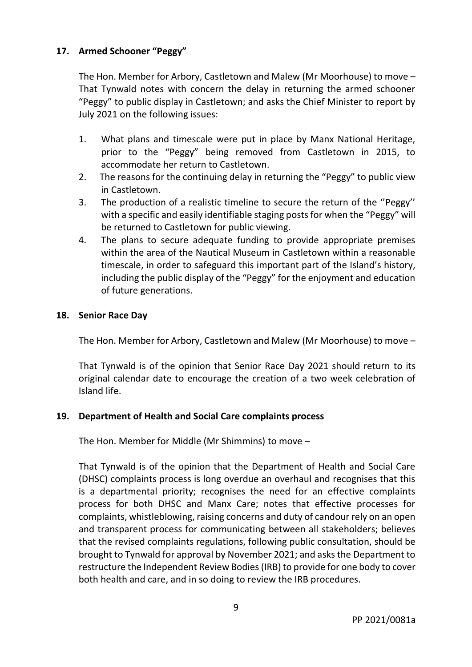## **17. Armed Schooner "Peggy"**

The Hon. Member for Arbory, Castletown and Malew (Mr Moorhouse) to move – That Tynwald notes with concern the delay in returning the armed schooner "Peggy" to public display in Castletown; and asks the Chief Minister to report by July 2021 on the following issues:

- 1. What plans and timescale were put in place by Manx National Heritage, prior to the "Peggy" being removed from Castletown in 2015, to accommodate her return to Castletown.
- 2. The reasons for the continuing delay in returning the "Peggy" to public view in Castletown.
- 3. The production of a realistic timeline to secure the return of the ''Peggy'' with a specific and easily identifiable staging posts for when the "Peggy" will be returned to Castletown for public viewing.
- 4. The plans to secure adequate funding to provide appropriate premises within the area of the Nautical Museum in Castletown within a reasonable timescale, in order to safeguard this important part of the Island's history, including the public display of the "Peggy" for the enjoyment and education of future generations.

#### **18. Senior Race Day**

The Hon. Member for Arbory, Castletown and Malew (Mr Moorhouse) to move –

That Tynwald is of the opinion that Senior Race Day 2021 should return to its original calendar date to encourage the creation of a two week celebration of Island life.

## **19. Department of Health and Social Care complaints process**

The Hon. Member for Middle (Mr Shimmins) to move –

That Tynwald is of the opinion that the Department of Health and Social Care (DHSC) complaints process is long overdue an overhaul and recognises that this is a departmental priority; recognises the need for an effective complaints process for both DHSC and Manx Care; notes that effective processes for complaints, whistleblowing, raising concerns and duty of candour rely on an open and transparent process for communicating between all stakeholders; believes that the revised complaints regulations, following public consultation, should be brought to Tynwald for approval by November 2021; and asks the Department to restructure the Independent Review Bodies(IRB) to provide for one body to cover both health and care, and in so doing to review the IRB procedures.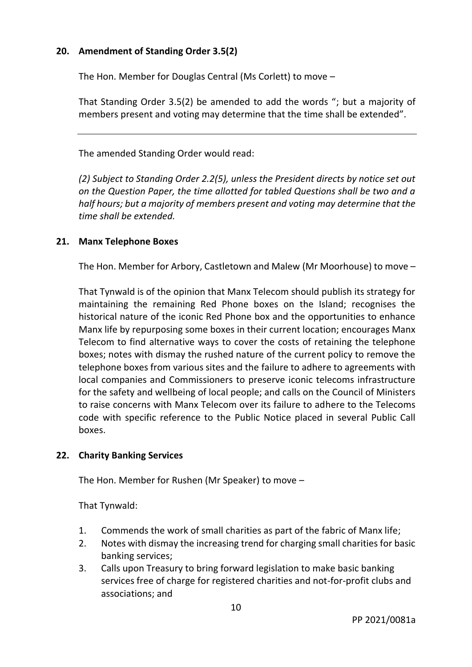## **20. Amendment of Standing Order 3.5(2)**

The Hon. Member for Douglas Central (Ms Corlett) to move –

That Standing Order 3.5(2) be amended to add the words "; but a majority of members present and voting may determine that the time shall be extended".

The amended Standing Order would read:

*(2) Subject to Standing Order 2.2(5), unless the President directs by notice set out on the Question Paper, the time allotted for tabled Questions shall be two and a half hours; but a majority of members present and voting may determine that the time shall be extended.*

#### **21. Manx Telephone Boxes**

The Hon. Member for Arbory, Castletown and Malew (Mr Moorhouse) to move –

That Tynwald is of the opinion that Manx Telecom should publish its strategy for maintaining the remaining Red Phone boxes on the Island; recognises the historical nature of the iconic Red Phone box and the opportunities to enhance Manx life by repurposing some boxes in their current location; encourages Manx Telecom to find alternative ways to cover the costs of retaining the telephone boxes; notes with dismay the rushed nature of the current policy to remove the telephone boxes from various sites and the failure to adhere to agreements with local companies and Commissioners to preserve iconic telecoms infrastructure for the safety and wellbeing of local people; and calls on the Council of Ministers to raise concerns with Manx Telecom over its failure to adhere to the Telecoms code with specific reference to the Public Notice placed in several Public Call boxes.

#### **22. Charity Banking Services**

The Hon. Member for Rushen (Mr Speaker) to move –

That Tynwald:

- 1. Commends the work of small charities as part of the fabric of Manx life;
- 2. Notes with dismay the increasing trend for charging small charities for basic banking services;
- 3. Calls upon Treasury to bring forward legislation to make basic banking services free of charge for registered charities and not-for-profit clubs and associations; and